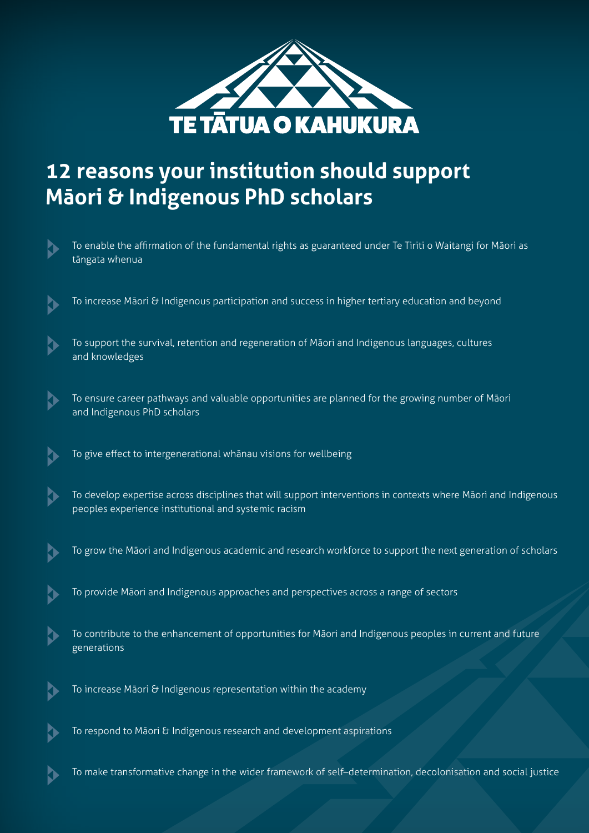

# **12 reasons your institution should support Māori & Indigenous PhD scholars**